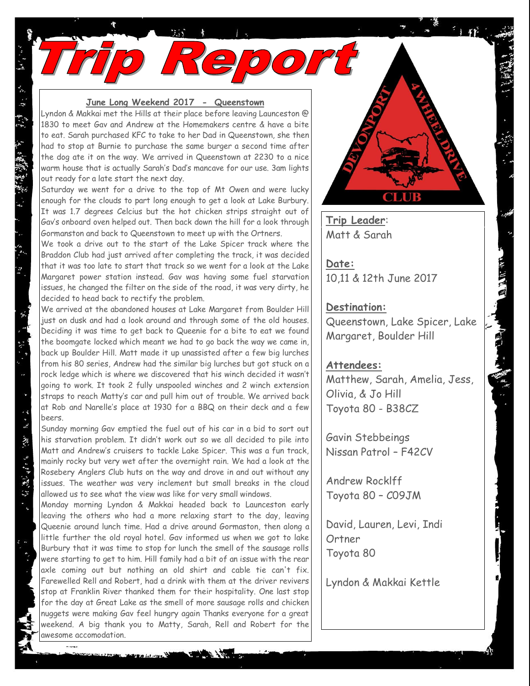## **June Long Weekend 2017 - Queenstown**

Ke

Lyndon & Makkai met the Hills at their place before leaving Launceston @ 1830 to meet Gav and Andrew at the Homemakers centre & have a bite to eat. Sarah purchased KFC to take to her Dad in Queenstown, she then had to stop at Burnie to purchase the same burger a second time after the dog ate it on the way. We arrived in Queenstown at 2230 to a nice warm house that is actually Sarah's Dad's mancave for our use. 3am lights out ready for a late start the next day.

Saturday we went for a drive to the top of Mt Owen and were lucky enough for the clouds to part long enough to get a look at Lake Burbury. It was 1.7 degrees Celcius but the hot chicken strips straight out of Gav's onboard oven helped out. Then back down the hill for a look through Gormanston and back to Queenstown to meet up with the Ortners.

We took a drive out to the start of the Lake Spicer track where the Braddon Club had just arrived after completing the track, it was decided that it was too late to start that track so we went for a look at the Lake Margaret power station instead. Gav was having some fuel starvation issues, he changed the filter on the side of the road, it was very dirty, he decided to head back to rectify the problem.

We arrived at the abandoned houses at Lake Margaret from Boulder Hill just on dusk and had a look around and through some of the old houses. Deciding it was time to get back to Queenie for a bite to eat we found the boomgate locked which meant we had to go back the way we came in, back up Boulder Hill. Matt made it up unassisted after a few big lurches from his 80 series, Andrew had the similar big lurches but got stuck on a rock ledge which is where we discovered that his winch decided it wasn't going to work. It took 2 fully unspooled winches and 2 winch extension straps to reach Matty's car and pull him out of trouble. We arrived back at Rob and Narelle's place at 1930 for a BBQ on their deck and a few beers.

Sunday morning Gav emptied the fuel out of his car in a bid to sort out his starvation problem. It didn't work out so we all decided to pile into Matt and Andrew's cruisers to tackle Lake Spicer. This was a fun track, mainly rocky but very wet after the overnight rain. We had a look at the Rosebery Anglers Club huts on the way and drove in and out without any issues. The weather was very inclement but small breaks in the cloud allowed us to see what the view was like for very small windows.

 $\ddot{\mathbf{r}}$ 

「一位進行」 「

 $\sim$ 

Monday morning Lyndon & Makkai headed back to Launceston early leaving the others who had a more relaxing start to the day, leaving Queenie around lunch time. Had a drive around Gormaston, then along a little further the old royal hotel. Gav informed us when we got to lake Burbury that it was time to stop for lunch the smell of the sausage rolls were starting to get to him. Hill family had a bit of an issue with the rear axle coming out but nothing an old shirt and cable tie can't fix. Farewelled Rell and Robert, had a drink with them at the driver revivers stop at Franklin River thanked them for their hospitality. One last stop for the day at Great Lake as the smell of more sausage rolls and chicken nuggets were making Gav feel hungry again Thanks everyone for a great weekend. A big thank you to Matty, Sarah, Rell and Robert for the awesome accomodation.

**Trip Leader**: Matt & Sarah

**Date:** 10,11 & 12th June 2017

## **Destination:**

Queenstown, Lake Spicer, Lake Margaret, Boulder Hill

## **Attendees:**

Matthew, Sarah, Amelia, Jess, Olivia, & Jo Hill Toyota 80 - B38CZ

Gavin Stebbeings Nissan Patrol – F42CV

Andrew Rocklff Toyota 80 – C09JM

David, Lauren, Levi, Indi **Ortner** Toyota 80

Lyndon & Makkai Kettle